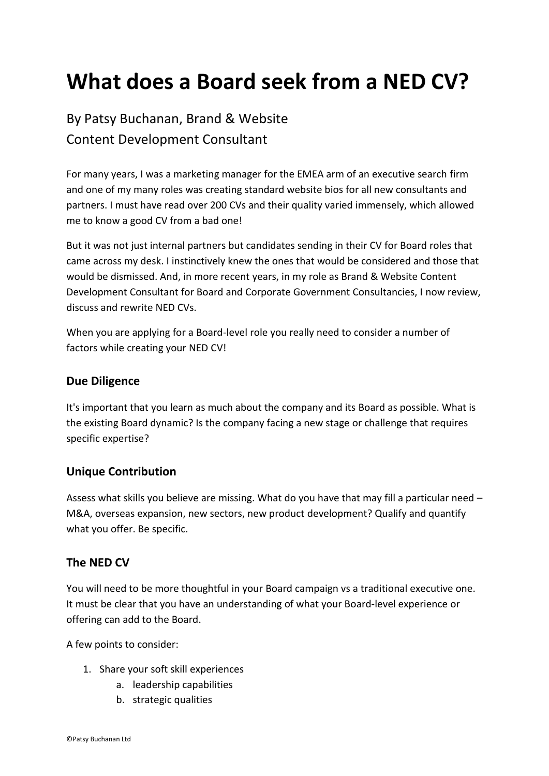# **What does a Board seek from a NED CV?**

By Patsy Buchanan, Brand & Website Content Development Consultant

For many years, I was a marketing manager for the EMEA arm of an executive search firm and one of my many roles was creating standard website bios for all new consultants and partners. I must have read over 200 CVs and their quality varied immensely, which allowed me to know a good CV from a bad one!

But it was not just internal partners but candidates sending in their CV for Board roles that came across my desk. I instinctively knew the ones that would be considered and those that would be dismissed. And, in more recent years, in my role as Brand & Website Content Development Consultant for Board and Corporate Government Consultancies, I now review, discuss and rewrite NED CVs.

When you are applying for a Board-level role you really need to consider a number of factors while creating your NED CV!

## **Due Diligence**

It's important that you learn as much about the company and its Board as possible. What is the existing Board dynamic? Is the company facing a new stage or challenge that requires specific expertise?

## **Unique Contribution**

Assess what skills you believe are missing. What do you have that may fill a particular need – M&A, overseas expansion, new sectors, new product development? Qualify and quantify what you offer. Be specific.

## **The NED CV**

You will need to be more thoughtful in your Board campaign vs a traditional executive one. It must be clear that you have an understanding of what your Board-level experience or offering can add to the Board.

A few points to consider:

- 1. Share your soft skill experiences
	- a. leadership capabilities
	- b. strategic qualities